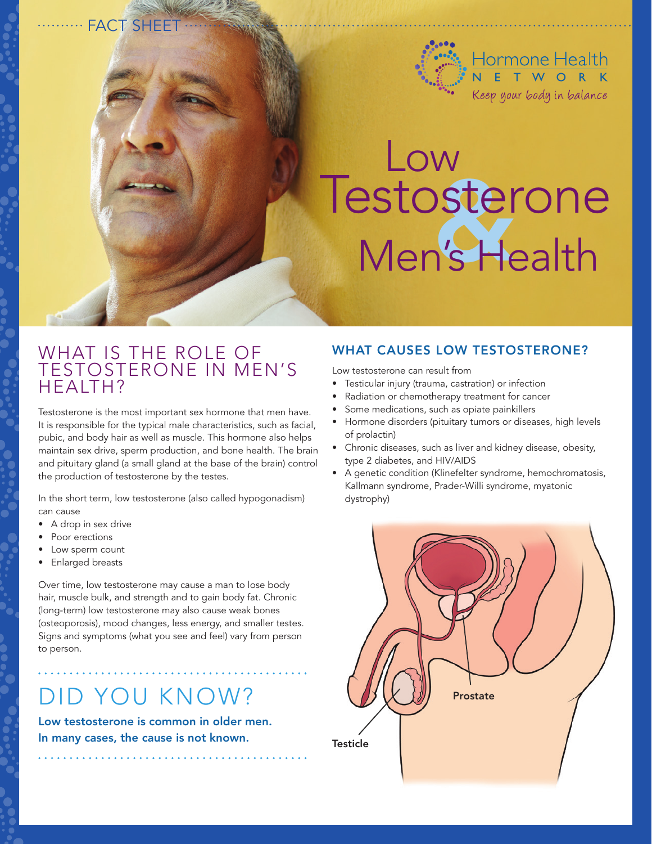

# Testosterone Men's Health Low

### WHAT IS THE ROLE OF testosterone in men's health?

·· FACT SHEET

Testosterone is the most important sex hormone that men have. It is responsible for the typical male characteristics, such as facial, pubic, and body hair as well as muscle. This hormone also helps maintain sex drive, sperm production, and bone health. The brain and pituitary gland (a small gland at the base of the brain) control the production of testosterone by the testes.

In the short term, low testosterone (also called hypogonadism) can cause

- A drop in sex drive
- Poor erections
- Low sperm count
- • Enlarged breasts

Over time, low testosterone may cause a man to lose body hair, muscle bulk, and strength and to gain body fat. Chronic (long-term) low testosterone may also cause weak bones (osteoporosis), mood changes, less energy, and smaller testes. Signs and symptoms (what you see and feel) vary from person to person.

# Did you know?

Low testosterone is common in older men. In many cases, the cause is not known.

#### WHAT CAUSES LOW TESTOSTERONE?

Low testosterone can result from

- Testicular injury (trauma, castration) or infection
- Radiation or chemotherapy treatment for cancer
- Some medications, such as opiate painkillers
- Hormone disorders (pituitary tumors or diseases, high levels of prolactin)
- Chronic diseases, such as liver and kidney disease, obesity, type 2 diabetes, and HIV/AIDS
- A genetic condition (Klinefelter syndrome, hemochromatosis, Kallmann syndrome, Prader-Willi syndrome, myatonic dystrophy)